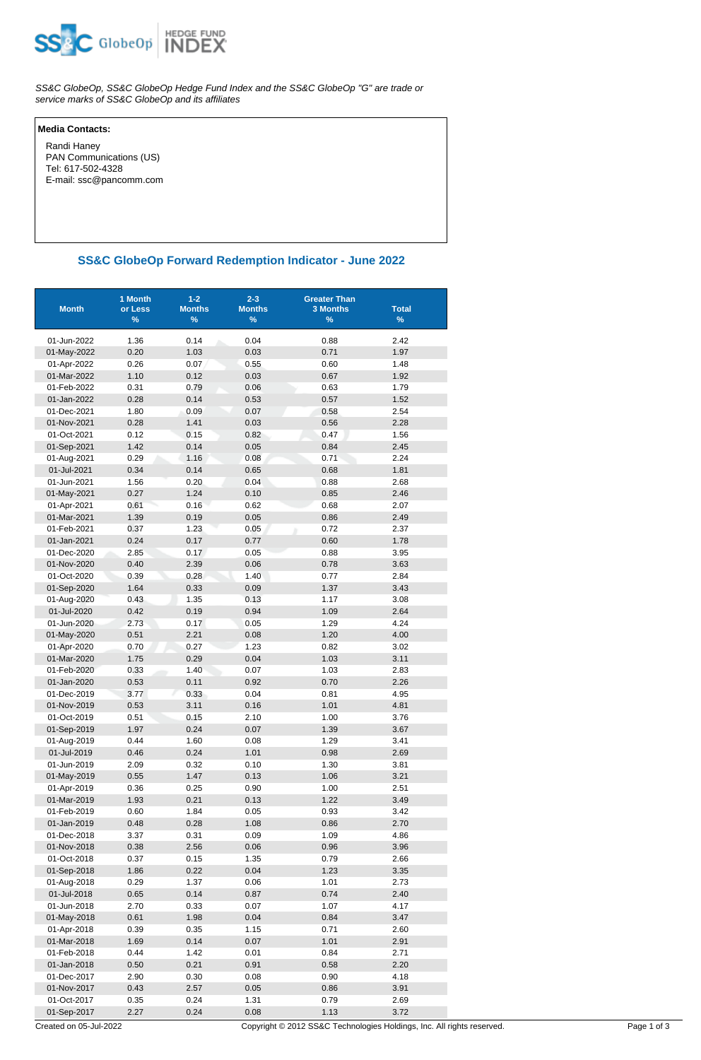

SS&C GlobeOp, SS&C GlobeOp Hedge Fund Index and the SS&C GlobeOp "G" are trade or service marks of SS&C GlobeOp and its affiliates

## **Media Contacts:**

 Randi Haney PAN Communications (US) Tel: 617-502-4328 E-mail: ssc@pancomm.com

## **SS&C GlobeOp Forward Redemption Indicator - June 2022**

| <b>Month</b>               | 1 Month<br>or Less<br>% | $1 - 2$<br><b>Months</b><br>% | $2 - 3$<br><b>Months</b><br>% | <b>Greater Than</b><br><b>3 Months</b><br>$\%$ | <b>Total</b><br>$\%$ |
|----------------------------|-------------------------|-------------------------------|-------------------------------|------------------------------------------------|----------------------|
|                            |                         |                               |                               |                                                |                      |
| 01-Jun-2022                | 1.36                    | 0.14<br>1.03                  | 0.04                          | 0.88                                           | 2.42                 |
| 01-May-2022                | 0.20<br>0.26            |                               | 0.03<br>0.55                  | 0.71<br>0.60                                   | 1.97                 |
| 01-Apr-2022<br>01-Mar-2022 | 1.10                    | 0.07<br>0.12                  | 0.03                          | 0.67                                           | 1.48<br>1.92         |
| 01-Feb-2022                | 0.31                    | 0.79                          | 0.06                          | 0.63                                           | 1.79                 |
| 01-Jan-2022                | 0.28                    | 0.14                          | 0.53                          | 0.57                                           | 1.52                 |
| 01-Dec-2021                | 1.80                    | 0.09                          | 0.07                          | 0.58                                           | 2.54                 |
| 01-Nov-2021                | 0.28                    | 1.41                          | 0.03                          | 0.56                                           | 2.28                 |
| 01-Oct-2021                | 0.12                    | 0.15                          | 0.82                          | 0.47                                           | 1.56                 |
| 01-Sep-2021                | 1.42                    | 0.14                          | 0.05                          | 0.84                                           | 2.45                 |
| 01-Aug-2021                | 0.29                    | 1.16                          | 0.08                          | 0.71                                           | 2.24                 |
| 01-Jul-2021                | 0.34                    | 0.14                          | 0.65                          | 0.68                                           | 1.81                 |
| 01-Jun-2021                | 1.56                    | 0.20                          | 0.04                          | 0.88                                           | 2.68                 |
| 01-May-2021                | 0.27                    | 1.24                          | 0.10                          | 0.85                                           | 2.46                 |
| 01-Apr-2021                | 0.61                    | 0.16                          | 0.62                          | 0.68                                           | 2.07                 |
| 01-Mar-2021                | 1.39                    | 0.19                          | 0.05                          | 0.86                                           | 2.49                 |
| 01-Feb-2021                | 0.37                    | 1.23                          | 0.05                          | 0.72                                           | 2.37                 |
| 01-Jan-2021                | 0.24                    | 0.17                          | 0.77                          | 0.60                                           | 1.78                 |
| 01-Dec-2020                | 2.85                    | 0.17                          | 0.05                          | 0.88                                           | 3.95                 |
| 01-Nov-2020                | 0.40                    | 2.39                          | 0.06                          | 0.78                                           | 3.63                 |
| 01-Oct-2020                | 0.39                    | 0.28                          | 1.40                          | 0.77                                           | 2.84                 |
| 01-Sep-2020                | 1.64                    | 0.33                          | 0.09                          | 1.37                                           | 3.43                 |
| 01-Aug-2020                | 0.43                    | 1.35                          | 0.13                          | 1.17                                           | 3.08                 |
| 01-Jul-2020                | 0.42                    | 0.19                          | 0.94                          | 1.09                                           | 2.64                 |
| 01-Jun-2020                | 2.73                    | 0.17                          | 0.05                          | 1.29                                           | 4.24                 |
| 01-May-2020                | 0.51                    | 2.21                          | 0.08                          | 1.20                                           | 4.00                 |
| 01-Apr-2020                | 0.70                    | 0.27                          | 1.23                          | 0.82                                           | 3.02                 |
| 01-Mar-2020                | 1.75                    | 0.29                          | 0.04                          | 1.03                                           | 3.11                 |
| 01-Feb-2020                | 0.33                    | 1.40                          | 0.07                          | 1.03                                           | 2.83                 |
| 01-Jan-2020                | 0.53                    | 0.11                          | 0.92                          | 0.70                                           | 2.26                 |
| 01-Dec-2019                | 3.77                    | 0.33                          | 0.04                          | 0.81                                           | 4.95                 |
| 01-Nov-2019                | 0.53                    | 3.11                          | 0.16                          | 1.01                                           | 4.81                 |
| 01-Oct-2019                | 0.51                    | 0.15                          | 2.10                          | 1.00                                           | 3.76                 |
| 01-Sep-2019                | 1.97                    | 0.24                          | 0.07                          | 1.39                                           | 3.67                 |
| 01-Aug-2019                | 0.44                    | 1.60                          | 0.08                          | 1.29                                           | 3.41                 |
| 01-Jul-2019                | 0.46                    | 0.24                          | 1.01                          | 0.98                                           | 2.69                 |
| 01-Jun-2019                | 2.09                    | 0.32                          | 0.10                          | 1.30                                           | 3.81                 |
| 01-May-2019                | 0.55                    | 1.47                          | 0.13                          | 1.06                                           | 3.21                 |
| 01-Apr-2019                | 0.36                    | 0.25                          | 0.90                          | 1.00                                           | 2.51                 |
| 01-Mar-2019                | 1.93                    | 0.21                          | 0.13                          | 1.22                                           | 3.49                 |
| 01-Feb-2019                | 0.60                    | 1.84                          | 0.05                          | 0.93                                           | 3.42                 |
| 01-Jan-2019                | 0.48                    | 0.28                          | 1.08                          | 0.86                                           | 2.70                 |
| 01-Dec-2018                | 3.37                    | 0.31                          | 0.09                          | 1.09                                           | 4.86                 |
| 01-Nov-2018                | 0.38                    | 2.56                          | 0.06                          | 0.96                                           | 3.96                 |
| 01-Oct-2018                | 0.37                    | 0.15                          | 1.35                          | 0.79                                           | 2.66                 |
| 01-Sep-2018                | 1.86                    | 0.22                          | 0.04                          | 1.23                                           | 3.35                 |
| 01-Aug-2018                | 0.29                    | 1.37                          | 0.06<br>0.87                  | 1.01<br>0.74                                   | 2.73                 |
| 01-Jul-2018<br>01-Jun-2018 | 0.65<br>2.70            | 0.14<br>0.33                  | 0.07                          | 1.07                                           | 2.40<br>4.17         |
| 01-May-2018                | 0.61                    | 1.98                          | 0.04                          | 0.84                                           | 3.47                 |
| 01-Apr-2018                | 0.39                    | 0.35                          | 1.15                          | 0.71                                           | 2.60                 |
| 01-Mar-2018                | 1.69                    | 0.14                          | 0.07                          | 1.01                                           | 2.91                 |
| 01-Feb-2018                | 0.44                    | 1.42                          | 0.01                          | 0.84                                           | 2.71                 |
| 01-Jan-2018                | 0.50                    | 0.21                          | 0.91                          | 0.58                                           | 2.20                 |
| 01-Dec-2017                | 2.90                    | 0.30                          | 0.08                          | 0.90                                           | 4.18                 |
| 01-Nov-2017                | 0.43                    | 2.57                          | 0.05                          | 0.86                                           | 3.91                 |
| 01-Oct-2017                | 0.35                    | 0.24                          | 1.31                          | 0.79                                           | 2.69                 |
| 01-Sep-2017                | 2.27                    | 0.24                          | 0.08                          | 1.13                                           | 3.72                 |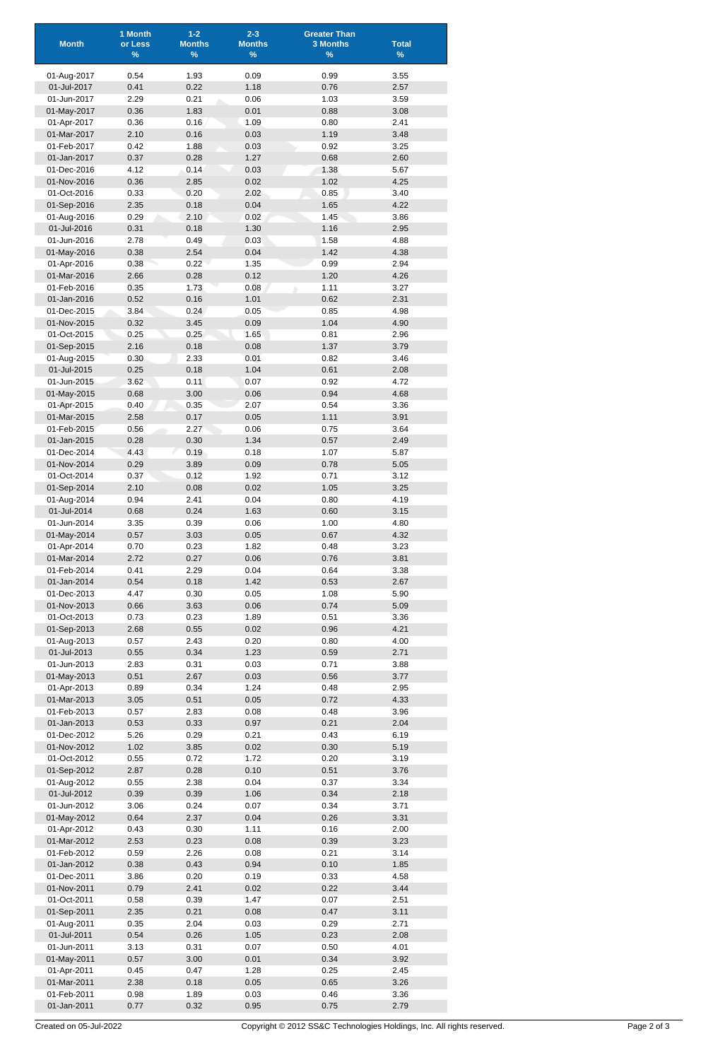| <b>Month</b>               | 1 Month<br>or Less<br>$\frac{9}{6}$ | $1 - 2$<br><b>Months</b><br>% | $2 - 3$<br><b>Months</b><br>$\%$ | <b>Greater Than</b><br><b>3 Months</b><br>$\%$ | <b>Total</b><br>$\%$ |
|----------------------------|-------------------------------------|-------------------------------|----------------------------------|------------------------------------------------|----------------------|
|                            |                                     |                               |                                  |                                                |                      |
| 01-Aug-2017<br>01-Jul-2017 | 0.54<br>0.41                        | 1.93<br>0.22                  | 0.09<br>1.18                     | 0.99<br>0.76                                   | 3.55<br>2.57         |
| 01-Jun-2017                | 2.29                                | 0.21                          | 0.06                             | 1.03                                           | 3.59                 |
| 01-May-2017                | 0.36                                | 1.83                          | 0.01                             | 0.88                                           | 3.08                 |
| 01-Apr-2017                | 0.36                                | 0.16                          | 1.09                             | 0.80                                           | 2.41                 |
| 01-Mar-2017<br>01-Feb-2017 | 2.10<br>0.42                        | 0.16<br>1.88                  | 0.03<br>0.03                     | 1.19<br>0.92                                   | 3.48<br>3.25         |
| 01-Jan-2017                | 0.37                                | 0.28                          | 1.27                             | 0.68                                           | 2.60                 |
| 01-Dec-2016                | 4.12                                | 0.14                          | 0.03                             | 1.38                                           | 5.67                 |
| 01-Nov-2016                | 0.36                                | 2.85                          | 0.02                             | 1.02                                           | 4.25                 |
| 01-Oct-2016<br>01-Sep-2016 | 0.33<br>2.35                        | 0.20<br>0.18                  | 2.02<br>0.04                     | 0.85<br>1.65                                   | 3.40<br>4.22         |
| 01-Aug-2016                | 0.29                                | 2.10                          | 0.02                             | 1.45                                           | 3.86                 |
| 01-Jul-2016                | 0.31                                | 0.18                          | 1.30                             | 1.16                                           | 2.95                 |
| 01-Jun-2016                | 2.78                                | 0.49                          | 0.03                             | 1.58                                           | 4.88                 |
| 01-May-2016<br>01-Apr-2016 | 0.38<br>0.38                        | 2.54<br>0.22                  | 0.04<br>1.35                     | 1.42<br>0.99                                   | 4.38<br>2.94         |
| 01-Mar-2016                | 2.66                                | 0.28                          | 0.12                             | 1.20                                           | 4.26                 |
| 01-Feb-2016                | 0.35                                | 1.73                          | 0.08                             | 1.11                                           | 3.27                 |
| 01-Jan-2016                | 0.52                                | 0.16                          | 1.01                             | 0.62                                           | 2.31                 |
| 01-Dec-2015                | 3.84                                | 0.24                          | 0.05                             | 0.85                                           | 4.98                 |
| 01-Nov-2015<br>01-Oct-2015 | 0.32<br>0.25                        | 3.45<br>0.25                  | 0.09<br>1.65                     | 1.04<br>0.81                                   | 4.90<br>2.96         |
| 01-Sep-2015                | 2.16                                | 0.18                          | 0.08                             | 1.37                                           | 3.79                 |
| 01-Aug-2015                | 0.30                                | 2.33                          | 0.01                             | 0.82                                           | 3.46                 |
| 01-Jul-2015                | 0.25                                | 0.18                          | 1.04                             | 0.61                                           | 2.08                 |
| 01-Jun-2015<br>01-May-2015 | 3.62<br>0.68                        | 0.11<br>3.00                  | 0.07<br>0.06                     | 0.92<br>0.94                                   | 4.72<br>4.68         |
| 01-Apr-2015                | 0.40                                | 0.35                          | 2.07                             | 0.54                                           | 3.36                 |
| 01-Mar-2015                | 2.58                                | 0.17                          | 0.05                             | 1.11                                           | 3.91                 |
| 01-Feb-2015                | 0.56                                | 2.27                          | 0.06                             | 0.75                                           | 3.64                 |
| 01-Jan-2015<br>01-Dec-2014 | 0.28<br>4.43                        | 0.30<br>0.19                  | 1.34<br>0.18                     | 0.57<br>1.07                                   | 2.49<br>5.87         |
| 01-Nov-2014                | 0.29                                | 3.89                          | 0.09                             | 0.78                                           | 5.05                 |
| 01-Oct-2014                | 0.37                                | 0.12                          | 1.92                             | 0.71                                           | 3.12                 |
| 01-Sep-2014                | 2.10                                | 0.08                          | 0.02                             | 1.05                                           | 3.25                 |
| 01-Aug-2014                | 0.94                                | 2.41                          | 0.04                             | 0.80                                           | 4.19                 |
| 01-Jul-2014<br>01-Jun-2014 | 0.68<br>3.35                        | 0.24<br>0.39                  | 1.63<br>0.06                     | 0.60<br>1.00                                   | 3.15<br>4.80         |
| 01-May-2014                | 0.57                                | 3.03                          | 0.05                             | 0.67                                           | 4.32                 |
| 01-Apr-2014                | 0.70                                | 0.23                          | 1.82                             | 0.48                                           | 3.23                 |
| 01-Mar-2014                | 2.72                                | 0.27                          | 0.06                             | 0.76                                           | 3.81                 |
| 01-Feb-2014<br>01-Jan-2014 | 0.41<br>0.54                        | 2.29<br>0.18                  | 0.04<br>1.42                     | 0.64<br>0.53                                   | 3.38<br>2.67         |
| 01-Dec-2013                | 4.47                                | 0.30                          | 0.05                             | 1.08                                           | 5.90                 |
| 01-Nov-2013                | 0.66                                | 3.63                          | 0.06                             | 0.74                                           | 5.09                 |
| 01-Oct-2013                | 0.73                                | 0.23                          | 1.89                             | 0.51                                           | 3.36                 |
| 01-Sep-2013                | 2.68                                | 0.55                          | 0.02                             | 0.96                                           | 4.21                 |
| 01-Aug-2013<br>01-Jul-2013 | 0.57<br>0.55                        | 2.43<br>0.34                  | 0.20<br>1.23                     | 0.80<br>0.59                                   | 4.00<br>2.71         |
| 01-Jun-2013                | 2.83                                | 0.31                          | 0.03                             | 0.71                                           | 3.88                 |
| 01-May-2013                | 0.51                                | 2.67                          | 0.03                             | 0.56                                           | 3.77                 |
| 01-Apr-2013                | 0.89                                | 0.34                          | 1.24                             | 0.48                                           | 2.95                 |
| 01-Mar-2013<br>01-Feb-2013 | 3.05<br>0.57                        | 0.51<br>2.83                  | 0.05<br>0.08                     | 0.72<br>0.48                                   | 4.33<br>3.96         |
| 01-Jan-2013                | 0.53                                | 0.33                          | 0.97                             | 0.21                                           | 2.04                 |
| 01-Dec-2012                | 5.26                                | 0.29                          | 0.21                             | 0.43                                           | 6.19                 |
| 01-Nov-2012                | 1.02                                | 3.85                          | 0.02                             | 0.30                                           | 5.19                 |
| 01-Oct-2012<br>01-Sep-2012 | 0.55<br>2.87                        | 0.72<br>0.28                  | 1.72<br>0.10                     | 0.20<br>0.51                                   | 3.19<br>3.76         |
| 01-Aug-2012                | 0.55                                | 2.38                          | 0.04                             | 0.37                                           | 3.34                 |
| 01-Jul-2012                | 0.39                                | 0.39                          | 1.06                             | 0.34                                           | 2.18                 |
| 01-Jun-2012                | 3.06                                | 0.24                          | 0.07                             | 0.34                                           | 3.71                 |
| 01-May-2012                | 0.64                                | 2.37                          | 0.04                             | 0.26                                           | 3.31                 |
| 01-Apr-2012<br>01-Mar-2012 | 0.43<br>2.53                        | 0.30<br>0.23                  | 1.11<br>0.08                     | 0.16<br>0.39                                   | 2.00<br>3.23         |
| 01-Feb-2012                | 0.59                                | 2.26                          | 0.08                             | 0.21                                           | 3.14                 |
| 01-Jan-2012                | 0.38                                | 0.43                          | 0.94                             | 0.10                                           | 1.85                 |
| 01-Dec-2011                | 3.86                                | 0.20                          | 0.19                             | 0.33                                           | 4.58                 |
| 01-Nov-2011<br>01-Oct-2011 | 0.79<br>0.58                        | 2.41<br>0.39                  | 0.02<br>1.47                     | 0.22<br>0.07                                   | 3.44<br>2.51         |
| 01-Sep-2011                | 2.35                                | 0.21                          | 0.08                             | 0.47                                           | 3.11                 |
| 01-Aug-2011                | 0.35                                | 2.04                          | 0.03                             | 0.29                                           | 2.71                 |
| 01-Jul-2011                | 0.54                                | 0.26                          | 1.05                             | 0.23                                           | 2.08                 |
| 01-Jun-2011<br>01-May-2011 | 3.13<br>0.57                        | 0.31<br>3.00                  | 0.07<br>0.01                     | 0.50<br>0.34                                   | 4.01<br>3.92         |
| 01-Apr-2011                | 0.45                                | 0.47                          | 1.28                             | 0.25                                           | 2.45                 |
| 01-Mar-2011                | 2.38                                | 0.18                          | 0.05                             | 0.65                                           | 3.26                 |
| 01-Feb-2011                | 0.98                                | 1.89                          | 0.03                             | 0.46                                           | 3.36                 |
| 01-Jan-2011                | 0.77                                | 0.32                          | 0.95                             | 0.75                                           | 2.79                 |